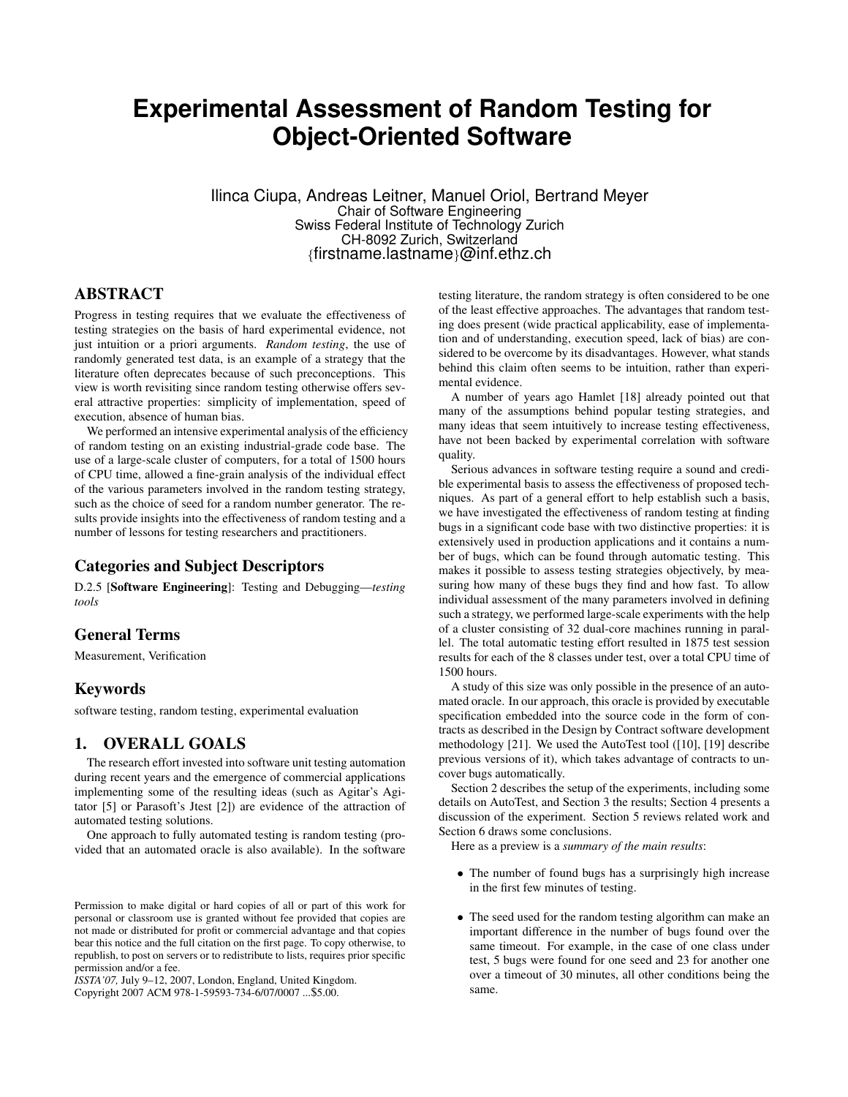# **Experimental Assessment of Random Testing for Object-Oriented Software**

Ilinca Ciupa, Andreas Leitner, Manuel Oriol, Bertrand Meyer Chair of Software Engineering Swiss Federal Institute of Technology Zurich CH-8092 Zurich, Switzerland {firstname.lastname}@inf.ethz.ch

# ABSTRACT

Progress in testing requires that we evaluate the effectiveness of testing strategies on the basis of hard experimental evidence, not just intuition or a priori arguments. *Random testing*, the use of randomly generated test data, is an example of a strategy that the literature often deprecates because of such preconceptions. This view is worth revisiting since random testing otherwise offers several attractive properties: simplicity of implementation, speed of execution, absence of human bias.

We performed an intensive experimental analysis of the efficiency of random testing on an existing industrial-grade code base. The use of a large-scale cluster of computers, for a total of 1500 hours of CPU time, allowed a fine-grain analysis of the individual effect of the various parameters involved in the random testing strategy, such as the choice of seed for a random number generator. The results provide insights into the effectiveness of random testing and a number of lessons for testing researchers and practitioners.

### Categories and Subject Descriptors

D.2.5 [Software Engineering]: Testing and Debugging—*testing tools*

# General Terms

Measurement, Verification

#### Keywords

software testing, random testing, experimental evaluation

# 1. OVERALL GOALS

The research effort invested into software unit testing automation during recent years and the emergence of commercial applications implementing some of the resulting ideas (such as Agitar's Agitator [5] or Parasoft's Jtest [2]) are evidence of the attraction of automated testing solutions.

One approach to fully automated testing is random testing (provided that an automated oracle is also available). In the software

*ISSTA'07,* July 9–12, 2007, London, England, United Kingdom. Copyright 2007 ACM 978-1-59593-734-6/07/0007 ...\$5.00.

testing literature, the random strategy is often considered to be one of the least effective approaches. The advantages that random testing does present (wide practical applicability, ease of implementation and of understanding, execution speed, lack of bias) are considered to be overcome by its disadvantages. However, what stands behind this claim often seems to be intuition, rather than experimental evidence.

A number of years ago Hamlet [18] already pointed out that many of the assumptions behind popular testing strategies, and many ideas that seem intuitively to increase testing effectiveness, have not been backed by experimental correlation with software quality.

Serious advances in software testing require a sound and credible experimental basis to assess the effectiveness of proposed techniques. As part of a general effort to help establish such a basis, we have investigated the effectiveness of random testing at finding bugs in a significant code base with two distinctive properties: it is extensively used in production applications and it contains a number of bugs, which can be found through automatic testing. This makes it possible to assess testing strategies objectively, by measuring how many of these bugs they find and how fast. To allow individual assessment of the many parameters involved in defining such a strategy, we performed large-scale experiments with the help of a cluster consisting of 32 dual-core machines running in parallel. The total automatic testing effort resulted in 1875 test session results for each of the 8 classes under test, over a total CPU time of 1500 hours.

A study of this size was only possible in the presence of an automated oracle. In our approach, this oracle is provided by executable specification embedded into the source code in the form of contracts as described in the Design by Contract software development methodology [21]. We used the AutoTest tool ([10], [19] describe previous versions of it), which takes advantage of contracts to uncover bugs automatically.

Section 2 describes the setup of the experiments, including some details on AutoTest, and Section 3 the results; Section 4 presents a discussion of the experiment. Section 5 reviews related work and Section 6 draws some conclusions.

Here as a preview is a *summary of the main results*:

- The number of found bugs has a surprisingly high increase in the first few minutes of testing.
- The seed used for the random testing algorithm can make an important difference in the number of bugs found over the same timeout. For example, in the case of one class under test, 5 bugs were found for one seed and 23 for another one over a timeout of 30 minutes, all other conditions being the same.

Permission to make digital or hard copies of all or part of this work for personal or classroom use is granted without fee provided that copies are not made or distributed for profit or commercial advantage and that copies bear this notice and the full citation on the first page. To copy otherwise, to republish, to post on servers or to redistribute to lists, requires prior specific permission and/or a fee.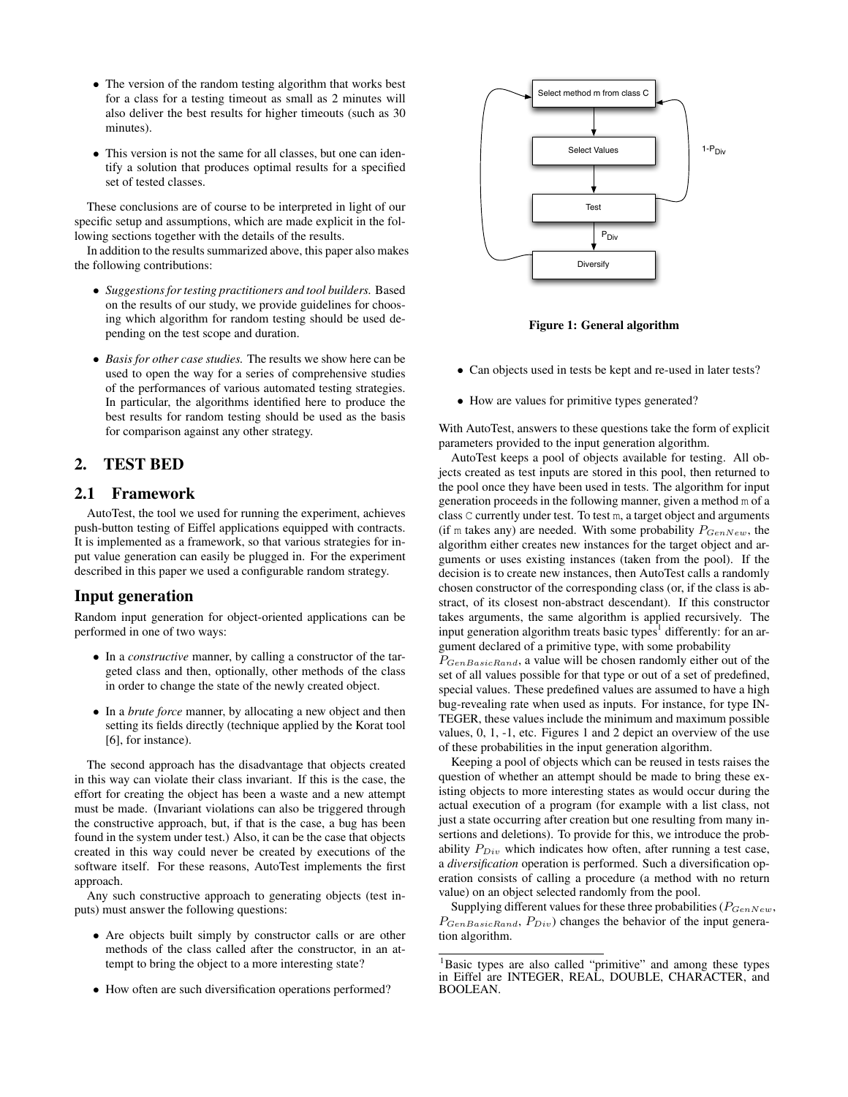- The version of the random testing algorithm that works best for a class for a testing timeout as small as 2 minutes will also deliver the best results for higher timeouts (such as 30 minutes).
- This version is not the same for all classes, but one can identify a solution that produces optimal results for a specified set of tested classes.

These conclusions are of course to be interpreted in light of our specific setup and assumptions, which are made explicit in the following sections together with the details of the results.

In addition to the results summarized above, this paper also makes the following contributions:

- *Suggestions for testing practitioners and tool builders.* Based on the results of our study, we provide guidelines for choosing which algorithm for random testing should be used depending on the test scope and duration.
- *Basis for other case studies.* The results we show here can be used to open the way for a series of comprehensive studies of the performances of various automated testing strategies. In particular, the algorithms identified here to produce the best results for random testing should be used as the basis for comparison against any other strategy.

# 2. TEST BED

#### 2.1 Framework

AutoTest, the tool we used for running the experiment, achieves push-button testing of Eiffel applications equipped with contracts. It is implemented as a framework, so that various strategies for input value generation can easily be plugged in. For the experiment described in this paper we used a configurable random strategy.

# Input generation

Random input generation for object-oriented applications can be performed in one of two ways:

- In a *constructive* manner, by calling a constructor of the targeted class and then, optionally, other methods of the class in order to change the state of the newly created object.
- In a *brute force* manner, by allocating a new object and then setting its fields directly (technique applied by the Korat tool [6], for instance).

The second approach has the disadvantage that objects created in this way can violate their class invariant. If this is the case, the effort for creating the object has been a waste and a new attempt must be made. (Invariant violations can also be triggered through the constructive approach, but, if that is the case, a bug has been found in the system under test.) Also, it can be the case that objects created in this way could never be created by executions of the software itself. For these reasons, AutoTest implements the first approach.

Any such constructive approach to generating objects (test inputs) must answer the following questions:

- Are objects built simply by constructor calls or are other methods of the class called after the constructor, in an attempt to bring the object to a more interesting state?
- How often are such diversification operations performed?



Figure 1: General algorithm

- Can objects used in tests be kept and re-used in later tests?
- How are values for primitive types generated?

With AutoTest, answers to these questions take the form of explicit parameters provided to the input generation algorithm.

AutoTest keeps a pool of objects available for testing. All objects created as test inputs are stored in this pool, then returned to the pool once they have been used in tests. The algorithm for input generation proceeds in the following manner, given a method m of a class C currently under test. To test m, a target object and arguments (if m takes any) are needed. With some probability  $P_{GenNew}$ , the algorithm either creates new instances for the target object and arguments or uses existing instances (taken from the pool). If the decision is to create new instances, then AutoTest calls a randomly chosen constructor of the corresponding class (or, if the class is abstract, of its closest non-abstract descendant). If this constructor takes arguments, the same algorithm is applied recursively. The input generation algorithm treats basic types $1$  differently: for an argument declared of a primitive type, with some probability

 $P_{GenBasicRand}$ , a value will be chosen randomly either out of the set of all values possible for that type or out of a set of predefined, special values. These predefined values are assumed to have a high bug-revealing rate when used as inputs. For instance, for type IN-TEGER, these values include the minimum and maximum possible values, 0, 1, -1, etc. Figures 1 and 2 depict an overview of the use of these probabilities in the input generation algorithm.

Keeping a pool of objects which can be reused in tests raises the question of whether an attempt should be made to bring these existing objects to more interesting states as would occur during the actual execution of a program (for example with a list class, not just a state occurring after creation but one resulting from many insertions and deletions). To provide for this, we introduce the probability  $P_{Diiv}$  which indicates how often, after running a test case, a *diversification* operation is performed. Such a diversification operation consists of calling a procedure (a method with no return value) on an object selected randomly from the pool.

Supplying different values for these three probabilities ( $P_{GenNew}$ ,  $P_{GenBasicRand}, P_{Div}$ ) changes the behavior of the input generation algorithm.

<sup>&</sup>lt;sup>1</sup>Basic types are also called "primitive" and among these types in Eiffel are INTEGER, REAL, DOUBLE, CHARACTER, and BOOLEAN.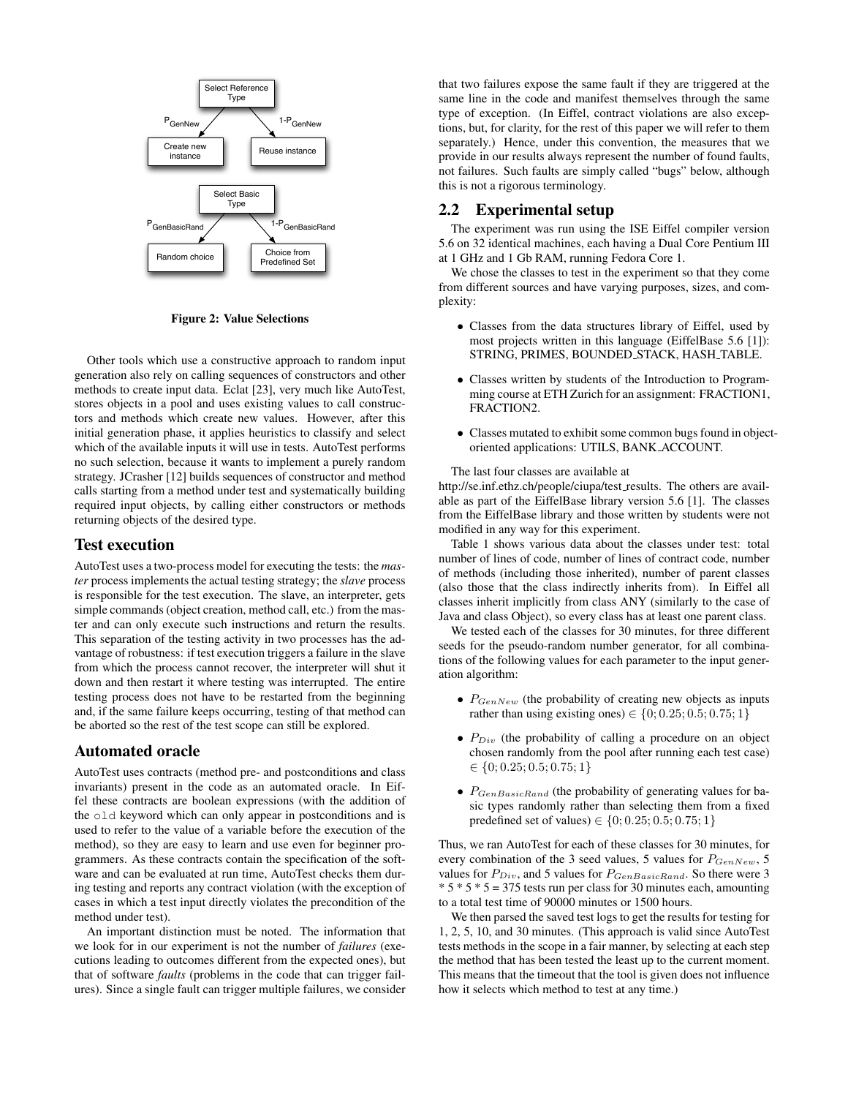

Figure 2: Value Selections

Other tools which use a constructive approach to random input generation also rely on calling sequences of constructors and other methods to create input data. Eclat [23], very much like AutoTest, stores objects in a pool and uses existing values to call constructors and methods which create new values. However, after this initial generation phase, it applies heuristics to classify and select which of the available inputs it will use in tests. AutoTest performs no such selection, because it wants to implement a purely random strategy. JCrasher [12] builds sequences of constructor and method calls starting from a method under test and systematically building required input objects, by calling either constructors or methods returning objects of the desired type.

#### Test execution

AutoTest uses a two-process model for executing the tests: the *master* process implements the actual testing strategy; the *slave* process is responsible for the test execution. The slave, an interpreter, gets simple commands (object creation, method call, etc.) from the master and can only execute such instructions and return the results. This separation of the testing activity in two processes has the advantage of robustness: if test execution triggers a failure in the slave from which the process cannot recover, the interpreter will shut it down and then restart it where testing was interrupted. The entire testing process does not have to be restarted from the beginning and, if the same failure keeps occurring, testing of that method can be aborted so the rest of the test scope can still be explored.

#### Automated oracle

AutoTest uses contracts (method pre- and postconditions and class invariants) present in the code as an automated oracle. In Eiffel these contracts are boolean expressions (with the addition of the old keyword which can only appear in postconditions and is used to refer to the value of a variable before the execution of the method), so they are easy to learn and use even for beginner programmers. As these contracts contain the specification of the software and can be evaluated at run time, AutoTest checks them during testing and reports any contract violation (with the exception of cases in which a test input directly violates the precondition of the method under test).

An important distinction must be noted. The information that we look for in our experiment is not the number of *failures* (executions leading to outcomes different from the expected ones), but that of software *faults* (problems in the code that can trigger failures). Since a single fault can trigger multiple failures, we consider that two failures expose the same fault if they are triggered at the same line in the code and manifest themselves through the same type of exception. (In Eiffel, contract violations are also exceptions, but, for clarity, for the rest of this paper we will refer to them separately.) Hence, under this convention, the measures that we provide in our results always represent the number of found faults, not failures. Such faults are simply called "bugs" below, although this is not a rigorous terminology.

## 2.2 Experimental setup

The experiment was run using the ISE Eiffel compiler version 5.6 on 32 identical machines, each having a Dual Core Pentium III at 1 GHz and 1 Gb RAM, running Fedora Core 1.

We chose the classes to test in the experiment so that they come from different sources and have varying purposes, sizes, and complexity:

- Classes from the data structures library of Eiffel, used by most projects written in this language (EiffelBase 5.6 [1]): STRING, PRIMES, BOUNDED\_STACK, HASH\_TABLE.
- Classes written by students of the Introduction to Programming course at ETH Zurich for an assignment: FRACTION1, FRACTION2.
- Classes mutated to exhibit some common bugs found in objectoriented applications: UTILS, BANK ACCOUNT.

The last four classes are available at

http://se.inf.ethz.ch/people/ciupa/test\_results. The others are available as part of the EiffelBase library version 5.6 [1]. The classes from the EiffelBase library and those written by students were not modified in any way for this experiment.

Table 1 shows various data about the classes under test: total number of lines of code, number of lines of contract code, number of methods (including those inherited), number of parent classes (also those that the class indirectly inherits from). In Eiffel all classes inherit implicitly from class ANY (similarly to the case of Java and class Object), so every class has at least one parent class.

We tested each of the classes for 30 minutes, for three different seeds for the pseudo-random number generator, for all combinations of the following values for each parameter to the input generation algorithm:

- $P_{GenNew}$  (the probability of creating new objects as inputs rather than using existing ones)  $\in \{0; 0.25; 0.5; 0.75; 1\}$
- $P_{Div}$  (the probability of calling a procedure on an object chosen randomly from the pool after running each test case)  $\in \{0; 0.25; 0.5; 0.75; 1\}$
- $P_{GenBasicRand}$  (the probability of generating values for basic types randomly rather than selecting them from a fixed predefined set of values)  $\in \{0; 0.25; 0.5; 0.75; 1\}$

Thus, we ran AutoTest for each of these classes for 30 minutes, for every combination of the 3 seed values, 5 values for  $P_{GenNew}$ , 5 values for  $P_{Div}$ , and 5 values for  $P_{GenBasicRand}$ . So there were 3  $* 5 * 5 * 5 = 375$  tests run per class for 30 minutes each, amounting to a total test time of 90000 minutes or 1500 hours.

We then parsed the saved test logs to get the results for testing for 1, 2, 5, 10, and 30 minutes. (This approach is valid since AutoTest tests methods in the scope in a fair manner, by selecting at each step the method that has been tested the least up to the current moment. This means that the timeout that the tool is given does not influence how it selects which method to test at any time.)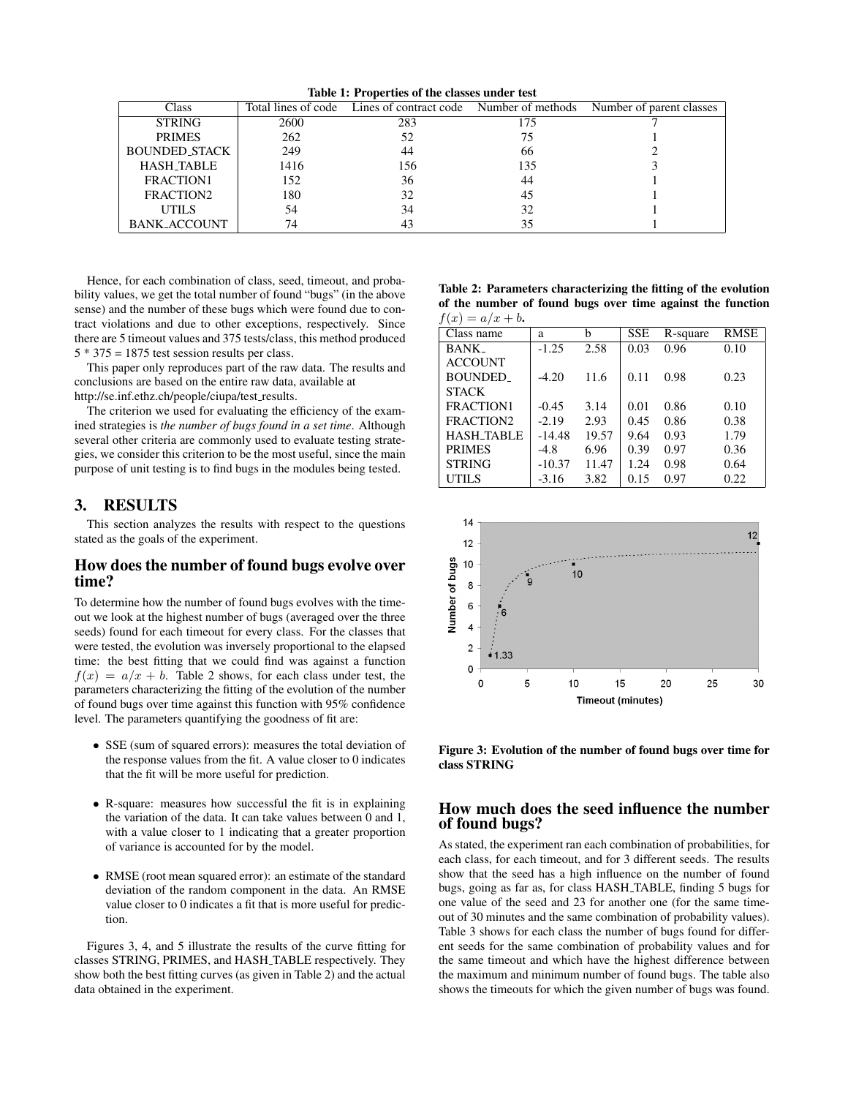Table 1: Properties of the classes under test

| <b>Class</b>         | Total lines of code | Lines of contract code | Number of methods | Number of parent classes |
|----------------------|---------------------|------------------------|-------------------|--------------------------|
| <b>STRING</b>        | 2600                | 283                    | 175               |                          |
| <b>PRIMES</b>        | 262                 | 52                     | 75                |                          |
| <b>BOUNDED_STACK</b> | 249                 | 44                     | 66                |                          |
| <b>HASH_TABLE</b>    | 1416                | 156                    | 135               |                          |
| <b>FRACTION1</b>     | 152                 | 36                     | 44                |                          |
| <b>FRACTION2</b>     | 180                 | 32                     | 45                |                          |
| <b>UTILS</b>         | 54                  | 34                     | 32                |                          |
| <b>BANK_ACCOUNT</b>  | 74                  |                        | 35                |                          |

Hence, for each combination of class, seed, timeout, and probability values, we get the total number of found "bugs" (in the above sense) and the number of these bugs which were found due to contract violations and due to other exceptions, respectively. Since there are 5 timeout values and 375 tests/class, this method produced  $5 * 375 = 1875$  test session results per class.

This paper only reproduces part of the raw data. The results and conclusions are based on the entire raw data, available at http://se.inf.ethz.ch/people/ciupa/test\_results.

The criterion we used for evaluating the efficiency of the examined strategies is *the number of bugs found in a set time*. Although several other criteria are commonly used to evaluate testing strategies, we consider this criterion to be the most useful, since the main purpose of unit testing is to find bugs in the modules being tested.

# 3. RESULTS

This section analyzes the results with respect to the questions stated as the goals of the experiment.

# How does the number of found bugs evolve over time?

To determine how the number of found bugs evolves with the timeout we look at the highest number of bugs (averaged over the three seeds) found for each timeout for every class. For the classes that were tested, the evolution was inversely proportional to the elapsed time: the best fitting that we could find was against a function  $f(x) = a/x + b$ . Table 2 shows, for each class under test, the parameters characterizing the fitting of the evolution of the number of found bugs over time against this function with 95% confidence level. The parameters quantifying the goodness of fit are:

- SSE (sum of squared errors): measures the total deviation of the response values from the fit. A value closer to 0 indicates that the fit will be more useful for prediction.
- R-square: measures how successful the fit is in explaining the variation of the data. It can take values between 0 and 1, with a value closer to 1 indicating that a greater proportion of variance is accounted for by the model.
- RMSE (root mean squared error): an estimate of the standard deviation of the random component in the data. An RMSE value closer to 0 indicates a fit that is more useful for prediction.

Figures 3, 4, and 5 illustrate the results of the curve fitting for classes STRING, PRIMES, and HASH TABLE respectively. They show both the best fitting curves (as given in Table 2) and the actual data obtained in the experiment.

Table 2: Parameters characterizing the fitting of the evolution of the number of found bugs over time against the function  $f(x) = a/x + b$ .

| Class name        | a        | b     | <b>SSE</b> | R-square | <b>RMSE</b> |
|-------------------|----------|-------|------------|----------|-------------|
| BANK_             | $-1.25$  | 2.58  | 0.03       | 0.96     | 0.10        |
| <b>ACCOUNT</b>    |          |       |            |          |             |
| <b>BOUNDED_</b>   | $-4.20$  | 11.6  | 0.11       | 0.98     | 0.23        |
| <b>STACK</b>      |          |       |            |          |             |
| <b>FRACTION1</b>  | $-0.45$  | 3.14  | 0.01       | 0.86     | 0.10        |
| <b>FRACTION2</b>  | $-2.19$  | 2.93  | 0.45       | 0.86     | 0.38        |
| <b>HASH TABLE</b> | $-14.48$ | 19.57 | 9.64       | 0.93     | 1.79        |
| <b>PRIMES</b>     | $-4.8$   | 6.96  | 0.39       | 0.97     | 0.36        |
| <b>STRING</b>     | $-10.37$ | 11.47 | 1.24       | 0.98     | 0.64        |
| <b>UTILS</b>      | $-3.16$  | 3.82  | 0.15       | 0.97     | 0.22        |



Figure 3: Evolution of the number of found bugs over time for class STRING

#### How much does the seed influence the number of found bugs?

As stated, the experiment ran each combination of probabilities, for each class, for each timeout, and for 3 different seeds. The results show that the seed has a high influence on the number of found bugs, going as far as, for class HASH TABLE, finding 5 bugs for one value of the seed and 23 for another one (for the same timeout of 30 minutes and the same combination of probability values). Table 3 shows for each class the number of bugs found for different seeds for the same combination of probability values and for the same timeout and which have the highest difference between the maximum and minimum number of found bugs. The table also shows the timeouts for which the given number of bugs was found.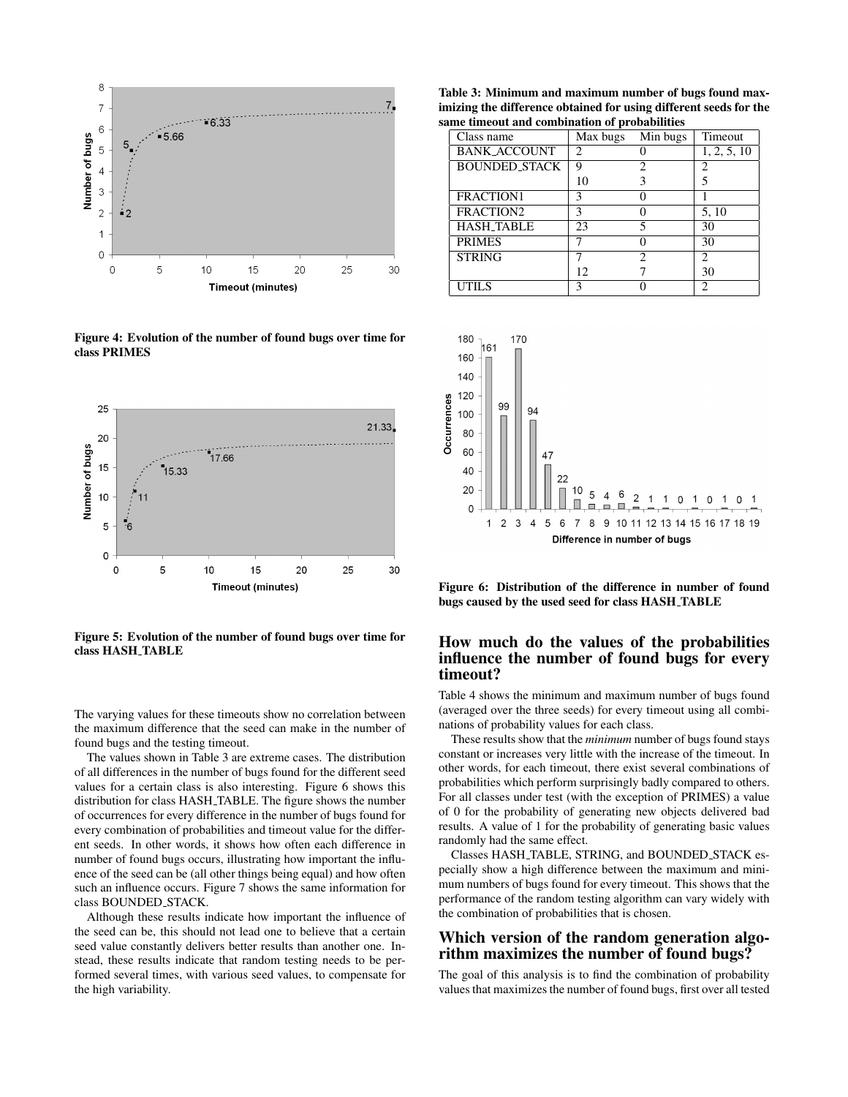

Figure 4: Evolution of the number of found bugs over time for class PRIMES



Figure 5: Evolution of the number of found bugs over time for class HASH TABLE

The varying values for these timeouts show no correlation between the maximum difference that the seed can make in the number of found bugs and the testing timeout.

The values shown in Table 3 are extreme cases. The distribution of all differences in the number of bugs found for the different seed values for a certain class is also interesting. Figure 6 shows this distribution for class HASH TABLE. The figure shows the number of occurrences for every difference in the number of bugs found for every combination of probabilities and timeout value for the different seeds. In other words, it shows how often each difference in number of found bugs occurs, illustrating how important the influence of the seed can be (all other things being equal) and how often such an influence occurs. Figure 7 shows the same information for class BOUNDED STACK.

Although these results indicate how important the influence of the seed can be, this should not lead one to believe that a certain seed value constantly delivers better results than another one. Instead, these results indicate that random testing needs to be performed several times, with various seed values, to compensate for the high variability.

Table 3: Minimum and maximum number of bugs found maximizing the difference obtained for using different seeds for the same timeout and combination of probabilities

| Class name           | Max bugs | Min bugs | Timeout     |  |  |  |  |  |  |
|----------------------|----------|----------|-------------|--|--|--|--|--|--|
| <b>BANK_ACCOUNT</b>  | 2        |          | 1, 2, 5, 10 |  |  |  |  |  |  |
| <b>BOUNDED_STACK</b> | 9        |          | 2           |  |  |  |  |  |  |
|                      | 10       |          | 5           |  |  |  |  |  |  |
| <b>FRACTION1</b>     | 3        |          |             |  |  |  |  |  |  |
| <b>FRACTION2</b>     | 3        |          | 5, 10       |  |  |  |  |  |  |
| <b>HASH_TABLE</b>    | 23       | 5        | 30          |  |  |  |  |  |  |
| <b>PRIMES</b>        |          |          | 30          |  |  |  |  |  |  |
| <b>STRING</b>        |          |          | 2           |  |  |  |  |  |  |
|                      | 12       |          | 30          |  |  |  |  |  |  |
| UTILS                | 3        |          | 2           |  |  |  |  |  |  |



Figure 6: Distribution of the difference in number of found bugs caused by the used seed for class HASH TABLE

# How much do the values of the probabilities influence the number of found bugs for every timeout?

Table 4 shows the minimum and maximum number of bugs found (averaged over the three seeds) for every timeout using all combinations of probability values for each class.

These results show that the *minimum* number of bugs found stays constant or increases very little with the increase of the timeout. In other words, for each timeout, there exist several combinations of probabilities which perform surprisingly badly compared to others. For all classes under test (with the exception of PRIMES) a value of 0 for the probability of generating new objects delivered bad results. A value of 1 for the probability of generating basic values randomly had the same effect.

Classes HASH TABLE, STRING, and BOUNDED STACK especially show a high difference between the maximum and minimum numbers of bugs found for every timeout. This shows that the performance of the random testing algorithm can vary widely with the combination of probabilities that is chosen.

#### Which version of the random generation algorithm maximizes the number of found bugs?

The goal of this analysis is to find the combination of probability values that maximizes the number of found bugs, first over all tested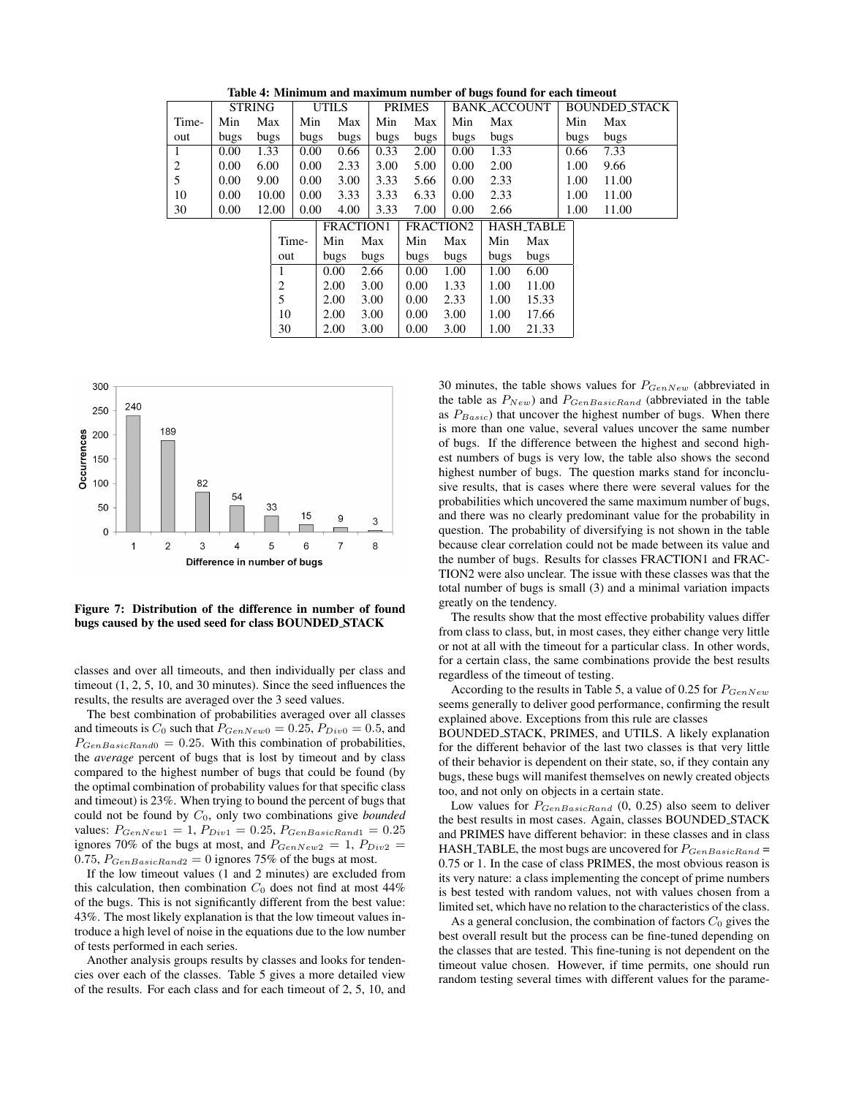|       |      | тиого и глиниции ина пимпиант папност от омуз тоана тот саси интебае<br><b>STRING</b><br><b>UTILS</b> |       |       |                  |             | PRIMES |                  |      |                   | <b>BANK_ACCOUNT</b> |      |       | <b>BOUNDED_STACK</b> |      |       |  |
|-------|------|-------------------------------------------------------------------------------------------------------|-------|-------|------------------|-------------|--------|------------------|------|-------------------|---------------------|------|-------|----------------------|------|-------|--|
| Time- | Min  | Max                                                                                                   |       | Min   |                  | Max         |        | Min              | Max  |                   | Min                 | Max  |       |                      | Min  | Max   |  |
| out   | bugs | bugs                                                                                                  |       | bugs  |                  | bugs        |        | bugs             | bugs |                   | bugs                | bugs |       |                      | bugs | bugs  |  |
| 1     | 0.00 | 1.33                                                                                                  |       | 0.00  |                  | 0.66        |        | 0.33             | 2.00 |                   | 0.00                | 1.33 |       |                      | 0.66 | 7.33  |  |
| 2     | 0.00 | 6.00                                                                                                  |       | 0.00  |                  | 2.33        |        | 3.00             | 5.00 |                   | 0.00                | 2.00 |       |                      | 1.00 | 9.66  |  |
| 5     | 0.00 | 9.00                                                                                                  |       | 0.00  |                  | 3.00        |        | 3.33             | 5.66 |                   | 0.00                | 2.33 |       |                      | 1.00 | 11.00 |  |
| 10    | 0.00 |                                                                                                       | 10.00 | 0.00  |                  | 3.33        |        | 3.33             | 6.33 |                   | 0.00                | 2.33 |       |                      | 1.00 | 11.00 |  |
| 30    | 0.00 |                                                                                                       | 12.00 | 0.00  |                  | 4.00        |        | 3.33             | 7.00 |                   | 0.00                | 2.66 |       |                      | 1.00 | 11.00 |  |
|       |      |                                                                                                       |       |       | <b>FRACTION1</b> |             |        | <b>FRACTION2</b> |      | <b>HASH_TABLE</b> |                     |      |       |                      |      |       |  |
|       |      |                                                                                                       |       | Time- |                  | Min         | Max    |                  | Min  |                   | Max                 | Min  | Max   |                      |      |       |  |
|       |      |                                                                                                       | out   |       |                  | <b>bugs</b> | bugs   |                  | bugs |                   | bugs                | bugs | bugs  |                      |      |       |  |
|       |      |                                                                                                       | 1     |       |                  | 0.00        | 2.66   |                  | 0.00 |                   | 1.00                | 1.00 | 6.00  |                      |      |       |  |
|       |      |                                                                                                       | 2     |       |                  | 2.00        | 3.00   |                  | 0.00 |                   | 1.33                | 1.00 | 11.00 |                      |      |       |  |
|       |      |                                                                                                       | 5     |       |                  | 2.00        | 3.00   |                  | 0.00 |                   | 2.33                | 1.00 | 15.33 |                      |      |       |  |
|       |      |                                                                                                       | 10    |       |                  | 2.00        | 3.00   |                  | 0.00 |                   | 3.00                | 1.00 | 17.66 |                      |      |       |  |
|       |      |                                                                                                       | 30    |       |                  | 2.00        | 3.00   |                  | 0.00 |                   | 3.00                | 1.00 | 21.33 |                      |      |       |  |

Table 4: Minimum and maximum number of bugs found for each timeout



Figure 7: Distribution of the difference in number of found bugs caused by the used seed for class BOUNDED STACK

classes and over all timeouts, and then individually per class and timeout (1, 2, 5, 10, and 30 minutes). Since the seed influences the results, the results are averaged over the 3 seed values.

The best combination of probabilities averaged over all classes and timeouts is  $C_0$  such that  $P_{GenNew0} = 0.25, P_{Div0} = 0.5$ , and  $P_{GenBasicRand0} = 0.25$ . With this combination of probabilities, the *average* percent of bugs that is lost by timeout and by class compared to the highest number of bugs that could be found (by the optimal combination of probability values for that specific class and timeout) is 23%. When trying to bound the percent of bugs that could not be found by  $C_0$ , only two combinations give *bounded* values:  $P_{GenNew1} = 1, P_{Div1} = 0.25, P_{GenBasicRand1} = 0.25$ ignores 70% of the bugs at most, and  $P_{GenNew2} = 1, P_{Div2} =$ 0.75,  $P_{GenBasicRand2} = 0$  ignores 75% of the bugs at most.

If the low timeout values (1 and 2 minutes) are excluded from this calculation, then combination  $C_0$  does not find at most 44% of the bugs. This is not significantly different from the best value: 43%. The most likely explanation is that the low timeout values introduce a high level of noise in the equations due to the low number of tests performed in each series.

Another analysis groups results by classes and looks for tendencies over each of the classes. Table 5 gives a more detailed view of the results. For each class and for each timeout of 2, 5, 10, and 30 minutes, the table shows values for  $P_{GenNew}$  (abbreviated in the table as  $P_{New}$ ) and  $P_{GenBasicRand}$  (abbreviated in the table as  $P_{Basic}$ ) that uncover the highest number of bugs. When there is more than one value, several values uncover the same number of bugs. If the difference between the highest and second highest numbers of bugs is very low, the table also shows the second highest number of bugs. The question marks stand for inconclusive results, that is cases where there were several values for the probabilities which uncovered the same maximum number of bugs, and there was no clearly predominant value for the probability in question. The probability of diversifying is not shown in the table because clear correlation could not be made between its value and the number of bugs. Results for classes FRACTION1 and FRAC-TION2 were also unclear. The issue with these classes was that the total number of bugs is small (3) and a minimal variation impacts greatly on the tendency.

The results show that the most effective probability values differ from class to class, but, in most cases, they either change very little or not at all with the timeout for a particular class. In other words, for a certain class, the same combinations provide the best results regardless of the timeout of testing.

According to the results in Table 5, a value of 0.25 for  $P_{GenNew}$ seems generally to deliver good performance, confirming the result explained above. Exceptions from this rule are classes

BOUNDED STACK, PRIMES, and UTILS. A likely explanation for the different behavior of the last two classes is that very little of their behavior is dependent on their state, so, if they contain any bugs, these bugs will manifest themselves on newly created objects too, and not only on objects in a certain state.

Low values for  $P_{GenBasicRand}$  (0, 0.25) also seem to deliver the best results in most cases. Again, classes BOUNDED STACK and PRIMES have different behavior: in these classes and in class HASH\_TABLE, the most bugs are uncovered for  $P_{GenBasicRand}$  = 0.75 or 1. In the case of class PRIMES, the most obvious reason is its very nature: a class implementing the concept of prime numbers is best tested with random values, not with values chosen from a limited set, which have no relation to the characteristics of the class.

As a general conclusion, the combination of factors  $C_0$  gives the best overall result but the process can be fine-tuned depending on the classes that are tested. This fine-tuning is not dependent on the timeout value chosen. However, if time permits, one should run random testing several times with different values for the parame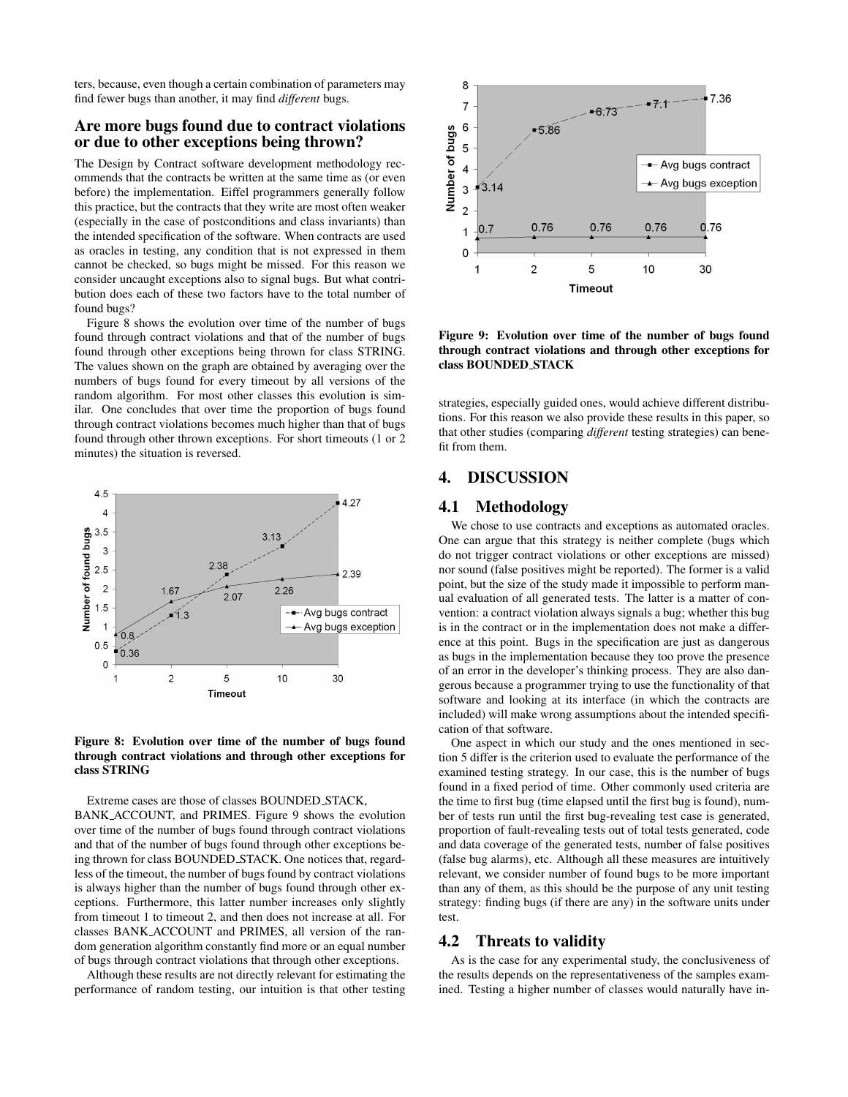ters, because, even though a certain combination of parameters may find fewer bugs than another, it may find *different* bugs.

#### Are more bugs found due to contract violations or due to other exceptions being thrown?

The Design by Contract software development methodology recommends that the contracts be written at the same time as (or even before) the implementation. Eiffel programmers generally follow this practice, but the contracts that they write are most often weaker (especially in the case of postconditions and class invariants) than the intended specification of the software. When contracts are used as oracles in testing, any condition that is not expressed in them cannot be checked, so bugs might be missed. For this reason we consider uncaught exceptions also to signal bugs. But what contribution does each of these two factors have to the total number of found bugs?

Figure 8 shows the evolution over time of the number of bugs found through contract violations and that of the number of bugs found through other exceptions being thrown for class STRING. The values shown on the graph are obtained by averaging over the numbers of bugs found for every timeout by all versions of the random algorithm. For most other classes this evolution is similar. One concludes that over time the proportion of bugs found through contract violations becomes much higher than that of bugs found through other thrown exceptions. For short timeouts (1 or 2 minutes) the situation is reversed.





Extreme cases are those of classes BOUNDED STACK,

BANK ACCOUNT, and PRIMES. Figure 9 shows the evolution over time of the number of bugs found through contract violations and that of the number of bugs found through other exceptions being thrown for class BOUNDED STACK. One notices that, regardless of the timeout, the number of bugs found by contract violations is always higher than the number of bugs found through other exceptions. Furthermore, this latter number increases only slightly from timeout 1 to timeout 2, and then does not increase at all. For classes BANK ACCOUNT and PRIMES, all version of the random generation algorithm constantly find more or an equal number of bugs through contract violations that through other exceptions.

Although these results are not directly relevant for estimating the performance of random testing, our intuition is that other testing



Figure 9: Evolution over time of the number of bugs found through contract violations and through other exceptions for class BOUNDED STACK

strategies, especially guided ones, would achieve different distributions. For this reason we also provide these results in this paper, so that other studies (comparing *different* testing strategies) can benefit from them.

# 4. DISCUSSION

#### 4.1 Methodology

We chose to use contracts and exceptions as automated oracles. One can argue that this strategy is neither complete (bugs which do not trigger contract violations or other exceptions are missed) nor sound (false positives might be reported). The former is a valid point, but the size of the study made it impossible to perform manual evaluation of all generated tests. The latter is a matter of convention: a contract violation always signals a bug; whether this bug is in the contract or in the implementation does not make a difference at this point. Bugs in the specification are just as dangerous as bugs in the implementation because they too prove the presence of an error in the developer's thinking process. They are also dangerous because a programmer trying to use the functionality of that software and looking at its interface (in which the contracts are included) will make wrong assumptions about the intended specification of that software.

One aspect in which our study and the ones mentioned in section 5 differ is the criterion used to evaluate the performance of the examined testing strategy. In our case, this is the number of bugs found in a fixed period of time. Other commonly used criteria are the time to first bug (time elapsed until the first bug is found), number of tests run until the first bug-revealing test case is generated, proportion of fault-revealing tests out of total tests generated, code and data coverage of the generated tests, number of false positives (false bug alarms), etc. Although all these measures are intuitively relevant, we consider number of found bugs to be more important than any of them, as this should be the purpose of any unit testing strategy: finding bugs (if there are any) in the software units under test.

# 4.2 Threats to validity

As is the case for any experimental study, the conclusiveness of the results depends on the representativeness of the samples examined. Testing a higher number of classes would naturally have in-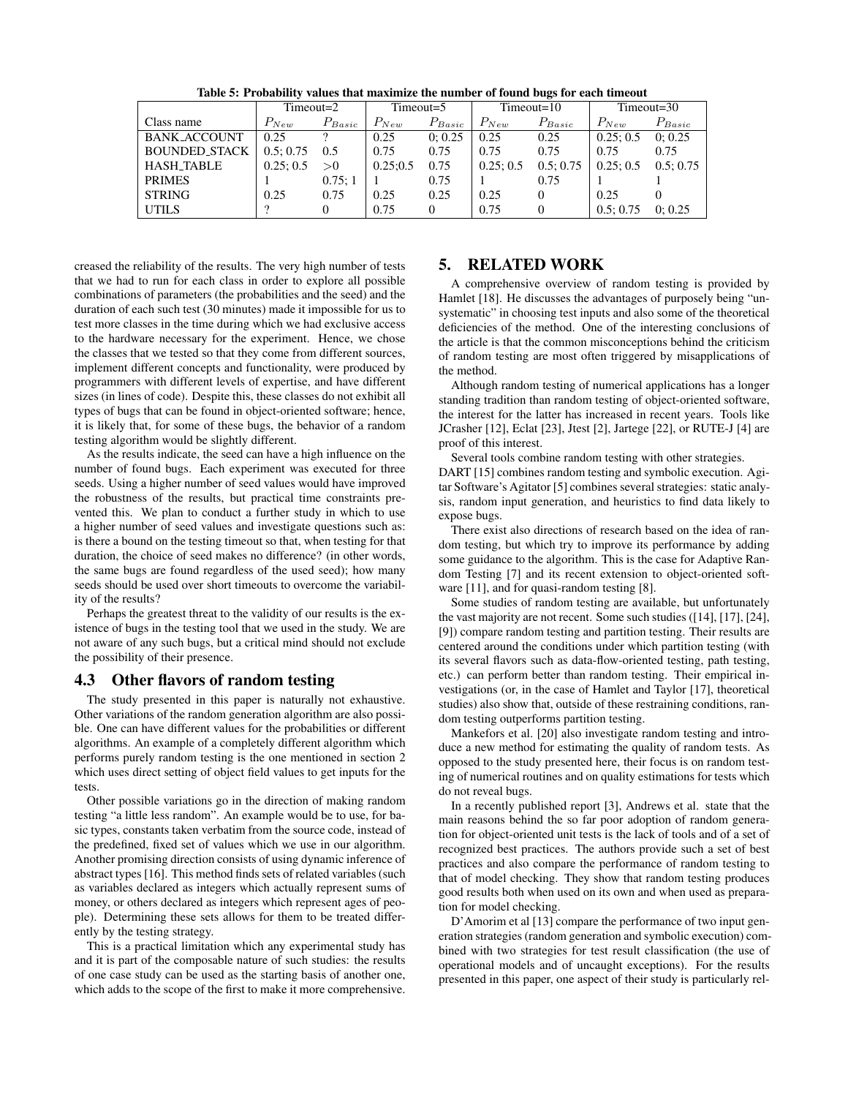|                      | $Timeout=2$ |             | $Timeout=5$ |             | $Timeout=10$ |             | $Timeout=30$ |             |  |  |  |  |
|----------------------|-------------|-------------|-------------|-------------|--------------|-------------|--------------|-------------|--|--|--|--|
| Class name           | $P_{New}$   | $P_{Basic}$ | $P_{New}$   | $P_{Basic}$ | $P_{New}$    | $P_{Basic}$ | $P_{New}$    | $P_{Basic}$ |  |  |  |  |
| <b>BANK_ACCOUNT</b>  | 0.25        |             | 0.25        | 0: 0.25     | 0.25         | 0.25        | 0.25:0.5     | 0: 0.25     |  |  |  |  |
| <b>BOUNDED_STACK</b> | 0.5:0.75    | 0.5         | 0.75        | 0.75        | 0.75         | 0.75        | 0.75         | 0.75        |  |  |  |  |
| <b>HASH_TABLE</b>    | 0.25:0.5    | >0          | 0.25:0.5    | 0.75        | 0.25:0.5     | 0.5: 0.75   | 0.25:0.5     | 0.5:0.75    |  |  |  |  |
| <b>PRIMES</b>        |             | 0.75:1      |             | 0.75        |              | 0.75        |              |             |  |  |  |  |
| <b>STRING</b>        | 0.25        | 0.75        | 0.25        | 0.25        | 0.25         |             | 0.25         |             |  |  |  |  |
| <b>UTILS</b>         |             | $_{0}$      | 0.75        | $\theta$    | 0.75         |             | 0.5:0.75     | 0: 0.25     |  |  |  |  |

Table 5: Probability values that maximize the number of found bugs for each timeout

creased the reliability of the results. The very high number of tests that we had to run for each class in order to explore all possible combinations of parameters (the probabilities and the seed) and the duration of each such test (30 minutes) made it impossible for us to test more classes in the time during which we had exclusive access to the hardware necessary for the experiment. Hence, we chose the classes that we tested so that they come from different sources, implement different concepts and functionality, were produced by programmers with different levels of expertise, and have different sizes (in lines of code). Despite this, these classes do not exhibit all types of bugs that can be found in object-oriented software; hence, it is likely that, for some of these bugs, the behavior of a random testing algorithm would be slightly different.

As the results indicate, the seed can have a high influence on the number of found bugs. Each experiment was executed for three seeds. Using a higher number of seed values would have improved the robustness of the results, but practical time constraints prevented this. We plan to conduct a further study in which to use a higher number of seed values and investigate questions such as: is there a bound on the testing timeout so that, when testing for that duration, the choice of seed makes no difference? (in other words, the same bugs are found regardless of the used seed); how many seeds should be used over short timeouts to overcome the variability of the results?

Perhaps the greatest threat to the validity of our results is the existence of bugs in the testing tool that we used in the study. We are not aware of any such bugs, but a critical mind should not exclude the possibility of their presence.

#### 4.3 Other flavors of random testing

The study presented in this paper is naturally not exhaustive. Other variations of the random generation algorithm are also possible. One can have different values for the probabilities or different algorithms. An example of a completely different algorithm which performs purely random testing is the one mentioned in section 2 which uses direct setting of object field values to get inputs for the tests.

Other possible variations go in the direction of making random testing "a little less random". An example would be to use, for basic types, constants taken verbatim from the source code, instead of the predefined, fixed set of values which we use in our algorithm. Another promising direction consists of using dynamic inference of abstract types [16]. This method finds sets of related variables (such as variables declared as integers which actually represent sums of money, or others declared as integers which represent ages of people). Determining these sets allows for them to be treated differently by the testing strategy.

This is a practical limitation which any experimental study has and it is part of the composable nature of such studies: the results of one case study can be used as the starting basis of another one, which adds to the scope of the first to make it more comprehensive.

## 5. RELATED WORK

A comprehensive overview of random testing is provided by Hamlet [18]. He discusses the advantages of purposely being "unsystematic" in choosing test inputs and also some of the theoretical deficiencies of the method. One of the interesting conclusions of the article is that the common misconceptions behind the criticism of random testing are most often triggered by misapplications of the method.

Although random testing of numerical applications has a longer standing tradition than random testing of object-oriented software, the interest for the latter has increased in recent years. Tools like JCrasher [12], Eclat [23], Jtest [2], Jartege [22], or RUTE-J [4] are proof of this interest.

Several tools combine random testing with other strategies.

DART [15] combines random testing and symbolic execution. Agitar Software's Agitator [5] combines several strategies: static analysis, random input generation, and heuristics to find data likely to expose bugs.

There exist also directions of research based on the idea of random testing, but which try to improve its performance by adding some guidance to the algorithm. This is the case for Adaptive Random Testing [7] and its recent extension to object-oriented software [11], and for quasi-random testing [8].

Some studies of random testing are available, but unfortunately the vast majority are not recent. Some such studies ([14], [17], [24], [9]) compare random testing and partition testing. Their results are centered around the conditions under which partition testing (with its several flavors such as data-flow-oriented testing, path testing, etc.) can perform better than random testing. Their empirical investigations (or, in the case of Hamlet and Taylor [17], theoretical studies) also show that, outside of these restraining conditions, random testing outperforms partition testing.

Mankefors et al. [20] also investigate random testing and introduce a new method for estimating the quality of random tests. As opposed to the study presented here, their focus is on random testing of numerical routines and on quality estimations for tests which do not reveal bugs.

In a recently published report [3], Andrews et al. state that the main reasons behind the so far poor adoption of random generation for object-oriented unit tests is the lack of tools and of a set of recognized best practices. The authors provide such a set of best practices and also compare the performance of random testing to that of model checking. They show that random testing produces good results both when used on its own and when used as preparation for model checking.

D'Amorim et al [13] compare the performance of two input generation strategies (random generation and symbolic execution) combined with two strategies for test result classification (the use of operational models and of uncaught exceptions). For the results presented in this paper, one aspect of their study is particularly rel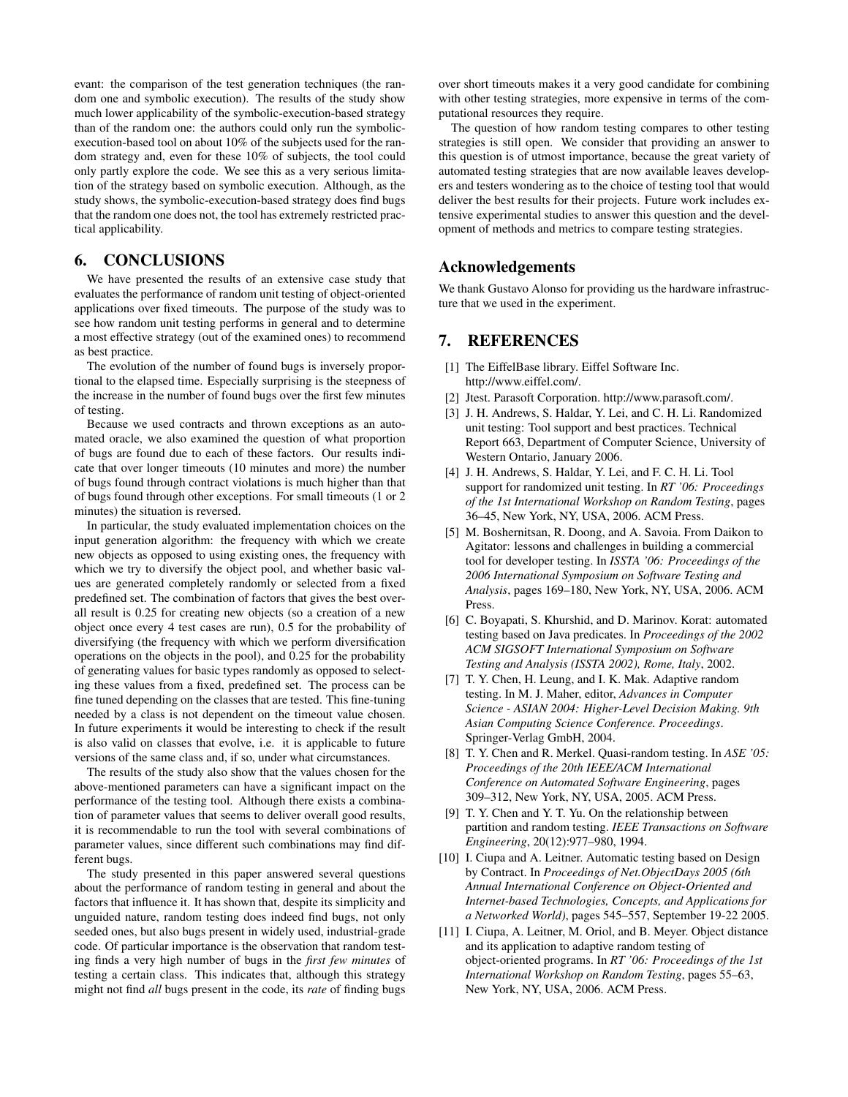evant: the comparison of the test generation techniques (the random one and symbolic execution). The results of the study show much lower applicability of the symbolic-execution-based strategy than of the random one: the authors could only run the symbolicexecution-based tool on about 10% of the subjects used for the random strategy and, even for these 10% of subjects, the tool could only partly explore the code. We see this as a very serious limitation of the strategy based on symbolic execution. Although, as the study shows, the symbolic-execution-based strategy does find bugs that the random one does not, the tool has extremely restricted practical applicability.

# 6. CONCLUSIONS

We have presented the results of an extensive case study that evaluates the performance of random unit testing of object-oriented applications over fixed timeouts. The purpose of the study was to see how random unit testing performs in general and to determine a most effective strategy (out of the examined ones) to recommend as best practice.

The evolution of the number of found bugs is inversely proportional to the elapsed time. Especially surprising is the steepness of the increase in the number of found bugs over the first few minutes of testing.

Because we used contracts and thrown exceptions as an automated oracle, we also examined the question of what proportion of bugs are found due to each of these factors. Our results indicate that over longer timeouts (10 minutes and more) the number of bugs found through contract violations is much higher than that of bugs found through other exceptions. For small timeouts (1 or 2 minutes) the situation is reversed.

In particular, the study evaluated implementation choices on the input generation algorithm: the frequency with which we create new objects as opposed to using existing ones, the frequency with which we try to diversify the object pool, and whether basic values are generated completely randomly or selected from a fixed predefined set. The combination of factors that gives the best overall result is 0.25 for creating new objects (so a creation of a new object once every 4 test cases are run), 0.5 for the probability of diversifying (the frequency with which we perform diversification operations on the objects in the pool), and 0.25 for the probability of generating values for basic types randomly as opposed to selecting these values from a fixed, predefined set. The process can be fine tuned depending on the classes that are tested. This fine-tuning needed by a class is not dependent on the timeout value chosen. In future experiments it would be interesting to check if the result is also valid on classes that evolve, i.e. it is applicable to future versions of the same class and, if so, under what circumstances.

The results of the study also show that the values chosen for the above-mentioned parameters can have a significant impact on the performance of the testing tool. Although there exists a combination of parameter values that seems to deliver overall good results, it is recommendable to run the tool with several combinations of parameter values, since different such combinations may find different bugs.

The study presented in this paper answered several questions about the performance of random testing in general and about the factors that influence it. It has shown that, despite its simplicity and unguided nature, random testing does indeed find bugs, not only seeded ones, but also bugs present in widely used, industrial-grade code. Of particular importance is the observation that random testing finds a very high number of bugs in the *first few minutes* of testing a certain class. This indicates that, although this strategy might not find *all* bugs present in the code, its *rate* of finding bugs over short timeouts makes it a very good candidate for combining with other testing strategies, more expensive in terms of the computational resources they require.

The question of how random testing compares to other testing strategies is still open. We consider that providing an answer to this question is of utmost importance, because the great variety of automated testing strategies that are now available leaves developers and testers wondering as to the choice of testing tool that would deliver the best results for their projects. Future work includes extensive experimental studies to answer this question and the development of methods and metrics to compare testing strategies.

# Acknowledgements

We thank Gustavo Alonso for providing us the hardware infrastructure that we used in the experiment.

# 7. REFERENCES

- [1] The EiffelBase library. Eiffel Software Inc. http://www.eiffel.com/.
- [2] Jtest. Parasoft Corporation. http://www.parasoft.com/.
- [3] J. H. Andrews, S. Haldar, Y. Lei, and C. H. Li. Randomized unit testing: Tool support and best practices. Technical Report 663, Department of Computer Science, University of Western Ontario, January 2006.
- [4] J. H. Andrews, S. Haldar, Y. Lei, and F. C. H. Li. Tool support for randomized unit testing. In *RT '06: Proceedings of the 1st International Workshop on Random Testing*, pages 36–45, New York, NY, USA, 2006. ACM Press.
- [5] M. Boshernitsan, R. Doong, and A. Savoia. From Daikon to Agitator: lessons and challenges in building a commercial tool for developer testing. In *ISSTA '06: Proceedings of the 2006 International Symposium on Software Testing and Analysis*, pages 169–180, New York, NY, USA, 2006. ACM Press.
- [6] C. Boyapati, S. Khurshid, and D. Marinov. Korat: automated testing based on Java predicates. In *Proceedings of the 2002 ACM SIGSOFT International Symposium on Software Testing and Analysis (ISSTA 2002), Rome, Italy*, 2002.
- [7] T. Y. Chen, H. Leung, and I. K. Mak. Adaptive random testing. In M. J. Maher, editor, *Advances in Computer Science - ASIAN 2004: Higher-Level Decision Making. 9th Asian Computing Science Conference. Proceedings*. Springer-Verlag GmbH, 2004.
- [8] T. Y. Chen and R. Merkel. Quasi-random testing. In *ASE '05: Proceedings of the 20th IEEE/ACM International Conference on Automated Software Engineering*, pages 309–312, New York, NY, USA, 2005. ACM Press.
- [9] T. Y. Chen and Y. T. Yu. On the relationship between partition and random testing. *IEEE Transactions on Software Engineering*, 20(12):977–980, 1994.
- [10] I. Ciupa and A. Leitner. Automatic testing based on Design by Contract. In *Proceedings of Net.ObjectDays 2005 (6th Annual International Conference on Object-Oriented and Internet-based Technologies, Concepts, and Applications for a Networked World)*, pages 545–557, September 19-22 2005.
- [11] I. Ciupa, A. Leitner, M. Oriol, and B. Meyer. Object distance and its application to adaptive random testing of object-oriented programs. In *RT '06: Proceedings of the 1st International Workshop on Random Testing*, pages 55–63, New York, NY, USA, 2006. ACM Press.